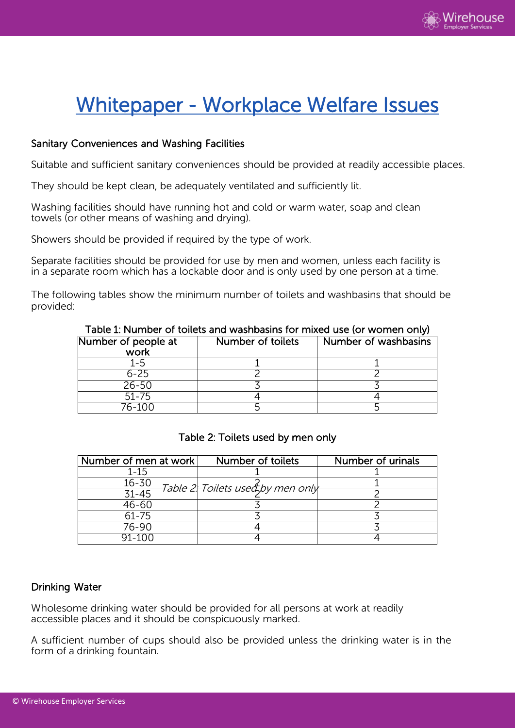

# Whitepaper - Workplace Welfare Issues

# Sanitary Conveniences and Washing Facilities

Suitable and sufficient sanitary conveniences should be provided at readily accessible places.

They should be kept clean, be adequately ventilated and sufficiently lit.

Washing facilities should have running hot and cold or warm water, soap and clean towels (or other means of washing and drying).

Showers should be provided if required by the type of work.

Separate facilities should be provided for use by men and women, unless each facility is in a separate room which has a lockable door and is only used by one person at a time.

The following tables show the minimum number of toilets and washbasins that should be provided:

| <b>TODIO 1. THE FIGHT OF CONCRETE THE FROM HOURS IN THE FIGHT OF THE STRIP I</b> |                   |                      |
|----------------------------------------------------------------------------------|-------------------|----------------------|
| Number of people at<br>work                                                      | Number of toilets | Number of washbasins |
| 1 - 5                                                                            |                   |                      |
| $6 - 25$                                                                         |                   |                      |
| $26 - 50$                                                                        |                   |                      |
| $51 - 75$                                                                        |                   |                      |
| 76-100                                                                           |                   |                      |

Table 1: Number of toilets and washbasins for mixed use (or women only)

## Table 2: Toilets used by men only

| Number of men at work | Number of toilets                               | Number of urinals |
|-----------------------|-------------------------------------------------|-------------------|
| 1-15                  |                                                 |                   |
| $16 - 30$             | <del>Table 2. Toilets use&amp;by men only</del> |                   |
| $31 - 45$             |                                                 |                   |
| 46-60                 |                                                 |                   |
| $61 - 75$             |                                                 |                   |
| 76-90                 |                                                 |                   |
| $91 - 100$            |                                                 |                   |

## Drinking Water

Wholesome drinking water should be provided for all persons at work at readily accessible places and it should be conspicuously marked.

A sufficient number of cups should also be provided unless the drinking water is in the form of a drinking fountain.